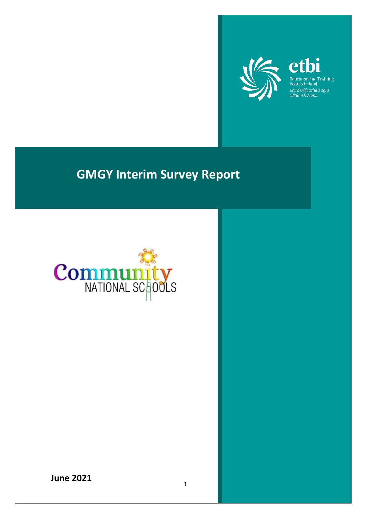

etbi Education and Training<br>Boards Ireland Boird Oideachais agus<br>Oiliúna Éireann

# **GMGY Interim Survey Report**



**June 2021**

1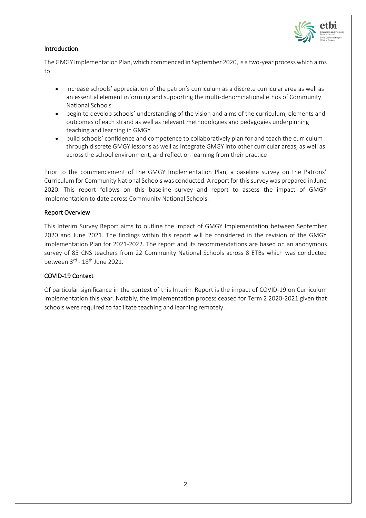

## Introduction

The GMGY Implementation Plan, which commenced in September 2020, is a two-year process which aims to:

- increase schools' appreciation of the patron's curriculum as a discrete curricular area as well as an essential element informing and supporting the multi-denominational ethos of Community National Schools
- begin to develop schools' understanding of the vision and aims of the curriculum, elements and outcomes of each strand as well as relevant methodologies and pedagogies underpinning teaching and learning in GMGY
- build schools' confidence and competence to collaboratively plan for and teach the curriculum through discrete GMGY lessons as well as integrate GMGY into other curricular areas, as well as across the school environment, and reflect on learning from their practice

Prior to the commencement of the GMGY Implementation Plan, a baseline survey on the Patrons' Curriculum for Community National Schools was conducted. A report for this survey was prepared in June 2020. This report follows on this baseline survey and report to assess the impact of GMGY Implementation to date across Community National Schools.

## Report Overview

This Interim Survey Report aims to outline the impact of GMGY Implementation between September 2020 and June 2021. The findings within this report will be considered in the revision of the GMGY Implementation Plan for 2021-2022. The report and its recommendations are based on an anonymous survey of 85 CNS teachers from 22 Community National Schools across 8 ETBs which was conducted between  $3^{\text{rd}}$  -  $18^{\text{th}}$  June 2021.

## COVID-19 Context

Of particular significance in the context of this Interim Report is the impact of COVID-19 on Curriculum Implementation this year. Notably, the Implementation process ceased for Term 2 2020-2021 given that schools were required to facilitate teaching and learning remotely.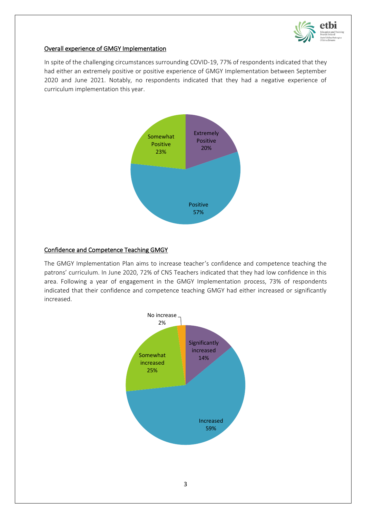

## Overall experience of GMGY Implementation

In spite of the challenging circumstances surrounding COVID-19, 77% of respondents indicated that they had either an extremely positive or positive experience of GMGY Implementation between September 2020 and June 2021. Notably, no respondents indicated that they had a negative experience of curriculum implementation this year.



## Confidence and Competence Teaching GMGY

The GMGY Implementation Plan aims to increase teacher's confidence and competence teaching the patrons' curriculum. In June 2020, 72% of CNS Teachers indicated that they had low confidence in this area. Following a year of engagement in the GMGY Implementation process, 73% of respondents indicated that their confidence and competence teaching GMGY had either increased or significantly increased.

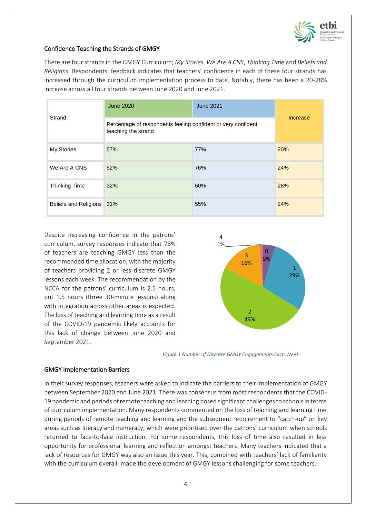

#### Confidence Teaching the Strands of GMGY

There are four strands in the GMGY Curriculum; *My Stories*, *We Are A CNS*, *Thinking Time* and *Beliefs and Religions*. Respondents' feedback indicates that teachers' confidence in each of these four strands has increased through the curriculum implementation process to date. Notably, there has been a 20-28% increase across all four strands between June 2020 and June 2021.

| Strand                    | <b>June 2020</b>                                                                     | <b>June 2021</b> |     |  |
|---------------------------|--------------------------------------------------------------------------------------|------------------|-----|--|
|                           | Percentage of respondents feeling confident or very confident<br>teaching the strand | Increase         |     |  |
| My Stories                | 57%                                                                                  | 77%              | 20% |  |
| We Are A CNS              | 52%                                                                                  | 76%              | 24% |  |
| <b>Thinking Time</b>      | 32%                                                                                  | 60%              | 28% |  |
| Beliefs and Religions 31% |                                                                                      | 55%              | 24% |  |

Despite increasing confidence in the patrons' curriculum, survey responses indicate that 78% of teachers are teaching GMGY less than the recommended time allocation, with the majority of teachers providing 2 or less discrete GMGY lessons each week. The recommendation by the NCCA for the patrons' curriculum is 2.5 hours, but 1.5 hours (three 30-minute lessons) along with integration across other areas is expected. The loss of teaching and learning time as a result of the COVID-19 pandemic likely accounts for this lack of change between June 2020 and September 2021.



*Figure 1 Number of Discrete GMGY Engagements Each Week*

#### GMGY Implementation Barriers

In their survey responses, teachers were asked to indicate the barriers to their implementation of GMGY between September 2020 and June 2021. There was consensus from most respondents that the COVID-19 pandemic and periods of remote teaching and learning posed significant challenges to schools in terms of curriculum implementation. Many respondents commented on the loss of teaching and learning time during periods of remote teaching and learning and the subsequent requirement to "catch-up" on key areas such as literacy and numeracy, which were prioritised over the patrons' curriculum when schools returned to face-to-face instruction. For some respondents, this loss of time also resulted in less opportunity for professional learning and reflection amongst teachers. Many teachers indicated that a lack of resources for GMGY was also an issue this year. This, combined with teachers' lack of familiarity with the curriculum overall, made the development of GMGY lessons challenging for some teachers.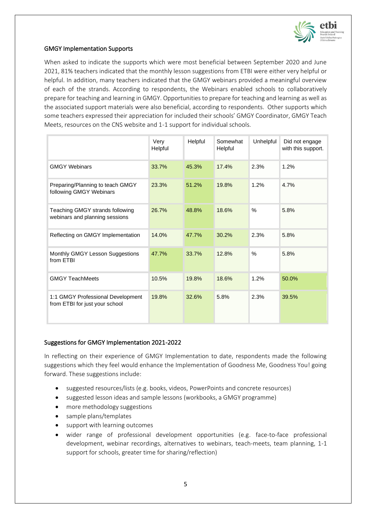

### GMGY Implementation Supports

When asked to indicate the supports which were most beneficial between September 2020 and June 2021, 81% teachers indicated that the monthly lesson suggestions from ETBI were either very helpful or helpful. In addition, many teachers indicated that the GMGY webinars provided a meaningful overview of each of the strands. According to respondents, the Webinars enabled schools to collaboratively prepare for teaching and learning in GMGY. Opportunities to prepare for teaching and learning as well as the associated support materials were also beneficial, according to respondents. Other supports which some teachers expressed their appreciation for included their schools' GMGY Coordinator, GMGY Teach Meets, resources on the CNS website and 1-1 support for individual schools.

|                                                                     | Very<br>Helpful | Helpful | Somewhat<br>Helpful | <b>Unhelpful</b> | Did not engage<br>with this support. |
|---------------------------------------------------------------------|-----------------|---------|---------------------|------------------|--------------------------------------|
| <b>GMGY Webinars</b>                                                | 33.7%           | 45.3%   | 17.4%               | 2.3%             | 1.2%                                 |
| Preparing/Planning to teach GMGY<br>following GMGY Webinars         | 23.3%           | 51.2%   | 19.8%               | 1.2%             | 4.7%                                 |
| Teaching GMGY strands following<br>webinars and planning sessions   | 26.7%           | 48.8%   | 18.6%               | $\%$             | 5.8%                                 |
| Reflecting on GMGY Implementation                                   | 14.0%           | 47.7%   | 30.2%               | 2.3%             | 5.8%                                 |
| Monthly GMGY Lesson Suggestions<br>from ETBI                        | 47.7%           | 33.7%   | 12.8%               | $\%$             | 5.8%                                 |
| <b>GMGY TeachMeets</b>                                              | 10.5%           | 19.8%   | 18.6%               | 1.2%             | 50.0%                                |
| 1:1 GMGY Professional Development<br>from ETBI for just your school | 19.8%           | 32.6%   | 5.8%                | 2.3%             | 39.5%                                |

#### Suggestions for GMGY Implementation 2021-2022

In reflecting on their experience of GMGY Implementation to date, respondents made the following suggestions which they feel would enhance the Implementation of Goodness Me, Goodness You! going forward. These suggestions include:

- suggested resources/lists (e.g. books, videos, PowerPoints and concrete resources)
- suggested lesson ideas and sample lessons (workbooks, a GMGY programme)
- more methodology suggestions
- sample plans/templates
- support with learning outcomes
- wider range of professional development opportunities (e.g. face-to-face professional development, webinar recordings, alternatives to webinars, teach-meets, team planning, 1-1 support for schools, greater time for sharing/reflection)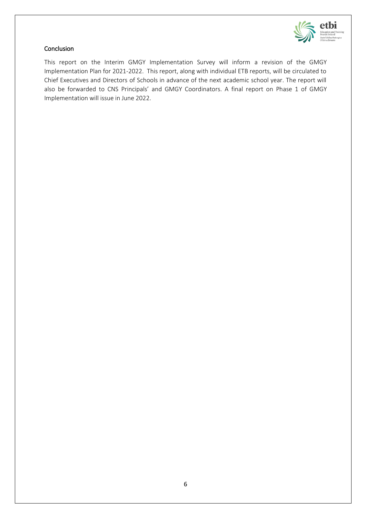

### **Conclusion**

This report on the Interim GMGY Implementation Survey will inform a revision of the GMGY Implementation Plan for 2021-2022. This report, along with individual ETB reports, will be circulated to Chief Executives and Directors of Schools in advance of the next academic school year. The report will also be forwarded to CNS Principals' and GMGY Coordinators. A final report on Phase 1 of GMGY Implementation will issue in June 2022.